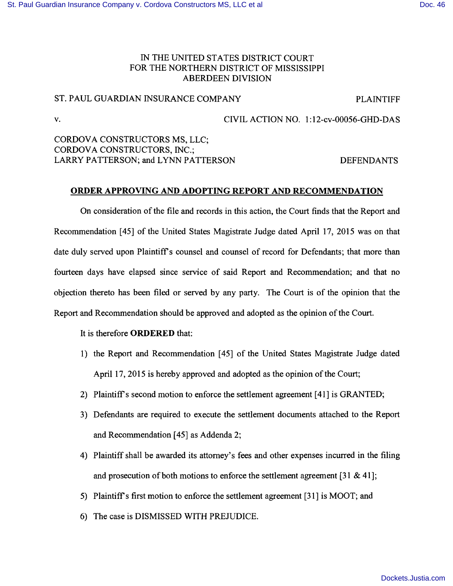## IN THE UNITED STATES DISTRICT COURT FOR THE NORTHERN DISTRICT OF MISSISSIPPI ABERDEEN DIVISION

## ST. PAUL GUARDIAN INSURANCE COMPANY PLAINTIFF

v. CIVIL ACTION NO. 1:12-cv-00056-GHD-DAS

CORDOVA CONSTRUCTORS MS, LLC; CORDOVA CONSTRUCTORS, INC.; LARRY PATTERSON; and LYNN PATTERSON DEFENDANTS

## **ORDER APPROVING AND ADOPTING REPORT AND RECOMMENDATION**

On consideration of the file and records in this action, the Court finds that the Report and Recommendation [45] of the United States Magistrate Judge dated April 17, 2015 was on that date duly served upon Plaintiff's counsel and counsel of record for Defendants; that more than fourteen days have elapsed since service of said Report and Recommendation; and that no objection thereto has been filed or served by any party. The Court is of the opinion that the Report and Recommendation should be approved and adopted as the opinion of the Court.

It is therefore **ORDERED** that:

- 1) the Report and Recommendation [45] of the United States Magistrate Judge dated April 17, 2015 is hereby approved and adopted as the opinion of the Court;
- 2) Plaintiff's second motion to enforce the settlement agreement [41] is GRANTED;
- 3) Defendants are required to execute the settlement documents attached to the Report and Recommendation [45] as Addenda 2;
- 4) Plaintiff shall be awarded its attorney's fees and other expenses incurred in the filing and prosecution of both motions to enforce the settlement agreement [31 & 41];
- 5) Plaintiff s first motion to enforce the settlement agreement [31] is MOOT; and
- 6) The case is DISMISSED WITH PREJUDICE.